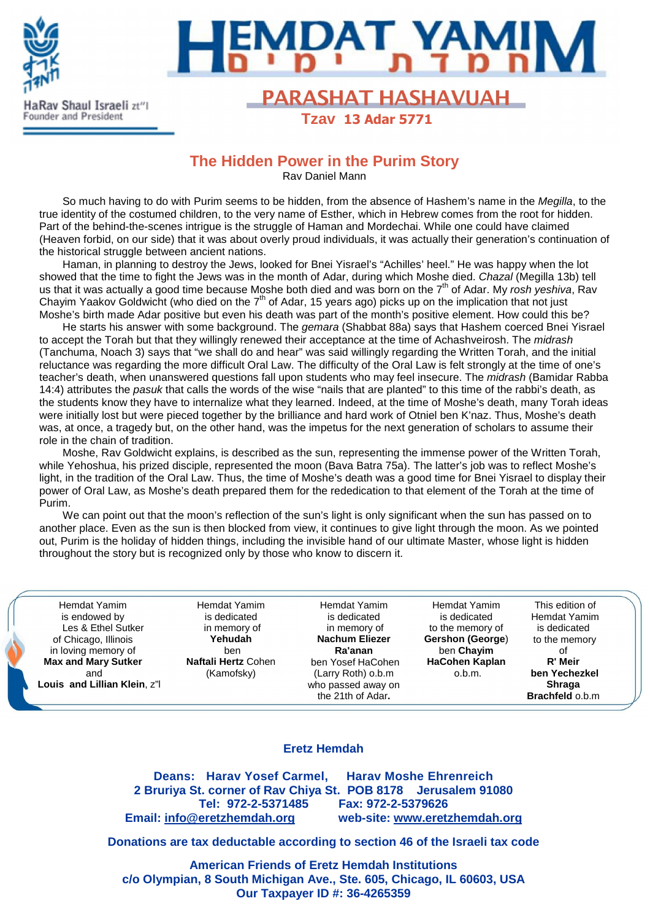



# Rav Shaul Israeli zt<sup>21</sup> No. 2014 **PARASHAT HASHAVUAH**

 **Tzav 13 Adar 5771**

## **The Hidden Power in the Purim Story**

Rav Daniel Mann

So much having to do with Purim seems to be hidden, from the absence of Hashem's name in the Megilla, to the true identity of the costumed children, to the very name of Esther, which in Hebrew comes from the root for hidden. Part of the behind-the-scenes intrigue is the struggle of Haman and Mordechai. While one could have claimed (Heaven forbid, on our side) that it was about overly proud individuals, it was actually their generation's continuation of the historical struggle between ancient nations.

Haman, in planning to destroy the Jews, looked for Bnei Yisrael's "Achilles' heel." He was happy when the lot showed that the time to fight the Jews was in the month of Adar, during which Moshe died. Chazal (Megilla 13b) tell us that it was actually a good time because Moshe both died and was born on the 7<sup>th</sup> of Adar. My rosh yeshiva, Rav Chayim Yaakov Goldwicht (who died on the  $7<sup>th</sup>$  of Adar, 15 years ago) picks up on the implication that not just Moshe's birth made Adar positive but even his death was part of the month's positive element. How could this be?

He starts his answer with some background. The *gemara* (Shabbat 88a) says that Hashem coerced Bnei Yisrael to accept the Torah but that they willingly renewed their acceptance at the time of Achashveirosh. The midrash (Tanchuma, Noach 3) says that "we shall do and hear" was said willingly regarding the Written Torah, and the initial reluctance was regarding the more difficult Oral Law. The difficulty of the Oral Law is felt strongly at the time of one's teacher's death, when unanswered questions fall upon students who may feel insecure. The *midrash* (Bamidar Rabba 14:4) attributes the pasuk that calls the words of the wise "nails that are planted" to this time of the rabbi's death, as the students know they have to internalize what they learned. Indeed, at the time of Moshe's death, many Torah ideas were initially lost but were pieced together by the brilliance and hard work of Otniel ben K'naz. Thus, Moshe's death was, at once, a tragedy but, on the other hand, was the impetus for the next generation of scholars to assume their role in the chain of tradition.

Moshe, Rav Goldwicht explains, is described as the sun, representing the immense power of the Written Torah, while Yehoshua, his prized disciple, represented the moon (Bava Batra 75a). The latter's job was to reflect Moshe's light, in the tradition of the Oral Law. Thus, the time of Moshe's death was a good time for Bnei Yisrael to display their power of Oral Law, as Moshe's death prepared them for the rededication to that element of the Torah at the time of Purim.

We can point out that the moon's reflection of the sun's light is only significant when the sun has passed on to another place. Even as the sun is then blocked from view, it continues to give light through the moon. As we pointed out, Purim is the holiday of hidden things, including the invisible hand of our ultimate Master, whose light is hidden throughout the story but is recognized only by those who know to discern it.

Hemdat Yamim is endowed by Les & Ethel Sutker of Chicago, Illinois in loving memory of **Max and Mary Sutker**  and **Louis and Lillian Klein**, z"l

Hemdat Yamim is dedicated in memory of **Yehudah**  ben **Naftali Hertz** Cohen (Kamofsky)

Hemdat Yamim is dedicated in memory of **Nachum Eliezer Ra'anan** ben Yosef HaCohen (Larry Roth) o.b.m who passed away on the 21th of Adar**.**

Hemdat Yamim is dedicated to the memory of **Gershon (George**) ben **Chayim HaCohen Kaplan** o.b.m.

This edition of Hemdat Yamim is dedicated to the memory of **R' Meir ben Yechezkel Shraga Brachfeld** o.b.m

#### **Eretz Hemdah**

**Deans: Harav Yosef Carmel, Harav Moshe Ehrenreich 2 Bruriya St. corner of Rav Chiya St. POB 8178 Jerusalem 91080 Tel: 972-2-5371485 Fax: 972-2-5379626 Email: info@eretzhemdah.org web-site: www.eretzhemdah.org**

**Donations are tax deductable according to section 46 of the Israeli tax code** 

**American Friends of Eretz Hemdah Institutions c/o Olympian, 8 South Michigan Ave., Ste. 605, Chicago, IL 60603, USA Our Taxpayer ID #: 36-4265359**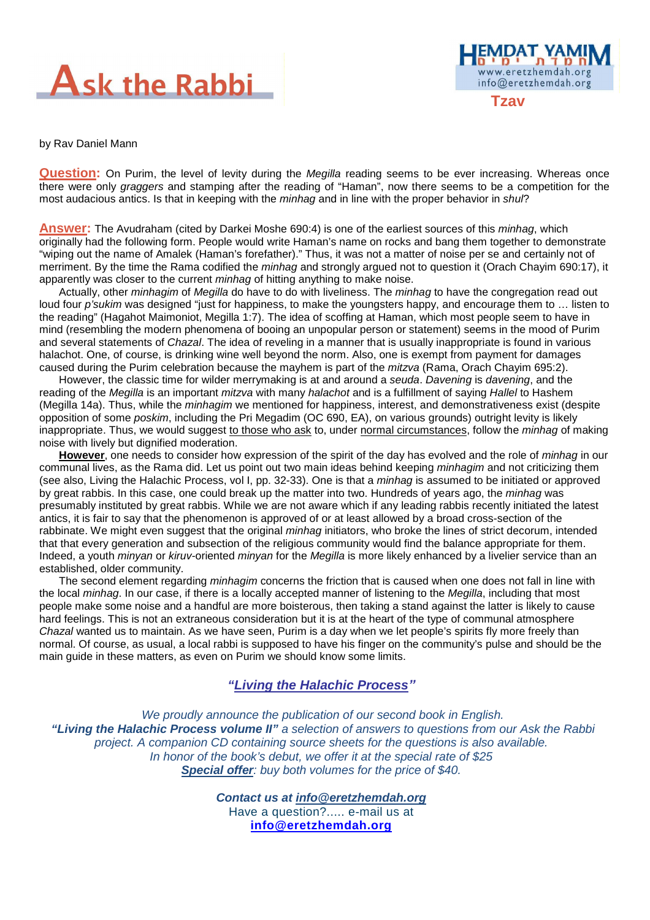



by Rav Daniel Mann

**Question:** On Purim, the level of levity during the Megilla reading seems to be ever increasing. Whereas once there were only graggers and stamping after the reading of "Haman", now there seems to be a competition for the most audacious antics. Is that in keeping with the *minhag* and in line with the proper behavior in shul?

**Answer:** The Avudraham (cited by Darkei Moshe 690:4) is one of the earliest sources of this minhag, which originally had the following form. People would write Haman's name on rocks and bang them together to demonstrate "wiping out the name of Amalek (Haman's forefather)." Thus, it was not a matter of noise per se and certainly not of merriment. By the time the Rama codified the *minhag* and strongly argued not to question it (Orach Chayim 690:17), it apparently was closer to the current *minhag* of hitting anything to make noise.

Actually, other *minhagim* of *Megilla* do have to do with liveliness. The *minhag* to have the congregation read out loud four p'sukim was designed "just for happiness, to make the youngsters happy, and encourage them to ... listen to the reading" (Hagahot Maimoniot, Megilla 1:7). The idea of scoffing at Haman, which most people seem to have in mind (resembling the modern phenomena of booing an unpopular person or statement) seems in the mood of Purim and several statements of Chazal. The idea of reveling in a manner that is usually inappropriate is found in various halachot. One, of course, is drinking wine well beyond the norm. Also, one is exempt from payment for damages caused during the Purim celebration because the mayhem is part of the *mitzva* (Rama, Orach Chayim 695:2).

However, the classic time for wilder merrymaking is at and around a seuda. Davening is davening, and the reading of the Megilla is an important mitzva with many halachot and is a fulfillment of saying Hallel to Hashem (Megilla 14a). Thus, while the *minhagim* we mentioned for happiness, interest, and demonstrativeness exist (despite) opposition of some poskim, including the Pri Megadim (OC 690, EA), on various grounds) outright levity is likely inappropriate. Thus, we would suggest to those who ask to, under normal circumstances, follow the *minhag* of making noise with lively but dignified moderation.

**However**, one needs to consider how expression of the spirit of the day has evolved and the role of minhag in our communal lives, as the Rama did. Let us point out two main ideas behind keeping minhagim and not criticizing them (see also, Living the Halachic Process, vol I, pp. 32-33). One is that a minhag is assumed to be initiated or approved by great rabbis. In this case, one could break up the matter into two. Hundreds of years ago, the minhag was presumably instituted by great rabbis. While we are not aware which if any leading rabbis recently initiated the latest antics, it is fair to say that the phenomenon is approved of or at least allowed by a broad cross-section of the rabbinate. We might even suggest that the original *minhag* initiators, who broke the lines of strict decorum, intended that that every generation and subsection of the religious community would find the balance appropriate for them. Indeed, a youth *minyan* or kiruv-oriented minyan for the Megilla is more likely enhanced by a livelier service than an established, older community.

The second element regarding *minhagim* concerns the friction that is caused when one does not fall in line with the local minhag. In our case, if there is a locally accepted manner of listening to the Megilla, including that most people make some noise and a handful are more boisterous, then taking a stand against the latter is likely to cause hard feelings. This is not an extraneous consideration but it is at the heart of the type of communal atmosphere Chazal wanted us to maintain. As we have seen, Purim is a day when we let people's spirits fly more freely than normal. Of course, as usual, a local rabbi is supposed to have his finger on the community's pulse and should be the main guide in these matters, as even on Purim we should know some limits.

### **"Living the Halachic Process***"*

 We proudly announce the publication of our second book in English.  **"Living the Halachic Process volume II"** a selection of answers to questions from our Ask the Rabbi project. A companion CD containing source sheets for the questions is also available. In honor of the book's debut, we offer it at the special rate of \$25 **Special offer**: buy both volumes for the price of \$40.

> **Contact us at info@eretzhemdah.org** Have a question?..... e-mail us at **info@eretzhemdah.org**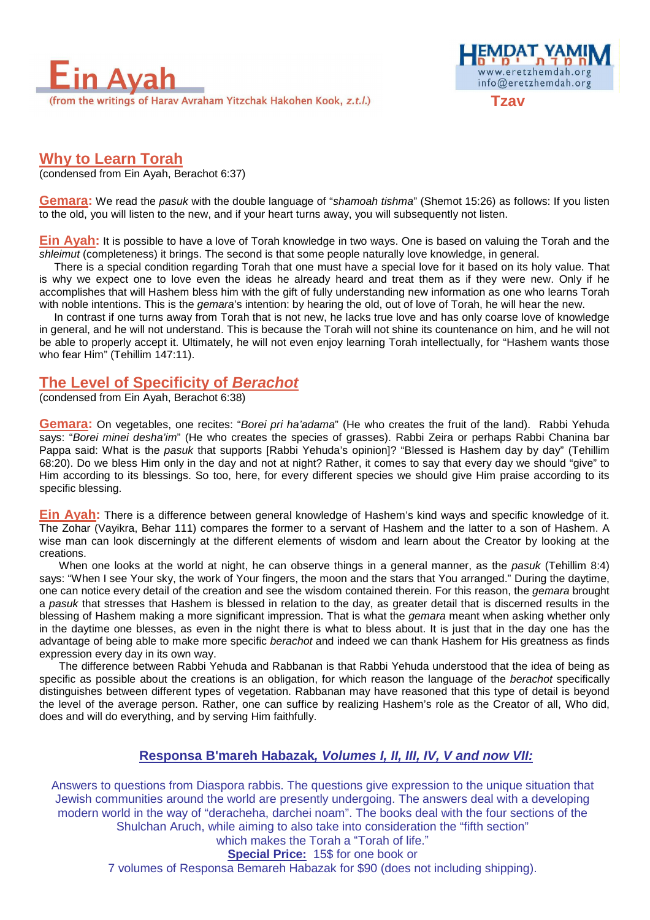



## **Why to Learn Torah**

(condensed from Ein Ayah, Berachot 6:37)

**Gemara:** We read the pasuk with the double language of "shamoah tishma" (Shemot 15:26) as follows: If you listen to the old, you will listen to the new, and if your heart turns away, you will subsequently not listen.

**Ein Ayah:** It is possible to have a love of Torah knowledge in two ways. One is based on valuing the Torah and the shleimut (completeness) it brings. The second is that some people naturally love knowledge, in general.

There is a special condition regarding Torah that one must have a special love for it based on its holy value. That is why we expect one to love even the ideas he already heard and treat them as if they were new. Only if he accomplishes that will Hashem bless him with the gift of fully understanding new information as one who learns Torah with noble intentions. This is the *gemara*'s intention: by hearing the old, out of love of Torah, he will hear the new.

In contrast if one turns away from Torah that is not new, he lacks true love and has only coarse love of knowledge in general, and he will not understand. This is because the Torah will not shine its countenance on him, and he will not be able to properly accept it. Ultimately, he will not even enjoy learning Torah intellectually, for "Hashem wants those who fear Him" (Tehillim 147:11).

## **The Level of Specificity of Berachot**

(condensed from Ein Ayah, Berachot 6:38)

Gemara: On vegetables, one recites: "Borei pri ha'adama" (He who creates the fruit of the land). Rabbi Yehuda says: "Borei minei desha'im" (He who creates the species of grasses). Rabbi Zeira or perhaps Rabbi Chanina bar Pappa said: What is the pasuk that supports [Rabbi Yehuda's opinion]? "Blessed is Hashem day by day" (Tehillim 68:20). Do we bless Him only in the day and not at night? Rather, it comes to say that every day we should "give" to Him according to its blessings. So too, here, for every different species we should give Him praise according to its specific blessing.

**Ein Ayah:** There is a difference between general knowledge of Hashem's kind ways and specific knowledge of it. The Zohar (Vayikra, Behar 111) compares the former to a servant of Hashem and the latter to a son of Hashem. A wise man can look discerningly at the different elements of wisdom and learn about the Creator by looking at the creations.

When one looks at the world at night, he can observe things in a general manner, as the pasuk (Tehillim 8:4) says: "When I see Your sky, the work of Your fingers, the moon and the stars that You arranged." During the daytime, one can notice every detail of the creation and see the wisdom contained therein. For this reason, the gemara brought a pasuk that stresses that Hashem is blessed in relation to the day, as greater detail that is discerned results in the blessing of Hashem making a more significant impression. That is what the *gemara* meant when asking whether only in the daytime one blesses, as even in the night there is what to bless about. It is just that in the day one has the advantage of being able to make more specific berachot and indeed we can thank Hashem for His greatness as finds expression every day in its own way.

The difference between Rabbi Yehuda and Rabbanan is that Rabbi Yehuda understood that the idea of being as specific as possible about the creations is an obligation, for which reason the language of the berachot specifically distinguishes between different types of vegetation. Rabbanan may have reasoned that this type of detail is beyond the level of the average person. Rather, one can suffice by realizing Hashem's role as the Creator of all, Who did, does and will do everything, and by serving Him faithfully.

### **Responsa B'mareh Habazak, Volumes I, II, III, IV, V and now VII:**

Answers to questions from Diaspora rabbis. The questions give expression to the unique situation that Jewish communities around the world are presently undergoing. The answers deal with a developing modern world in the way of "deracheha, darchei noam". The books deal with the four sections of the Shulchan Aruch, while aiming to also take into consideration the "fifth section" which makes the Torah a "Torah of life."

**Special Price:** 15\$ for one book or

7 volumes of Responsa Bemareh Habazak for \$90 (does not including shipping).